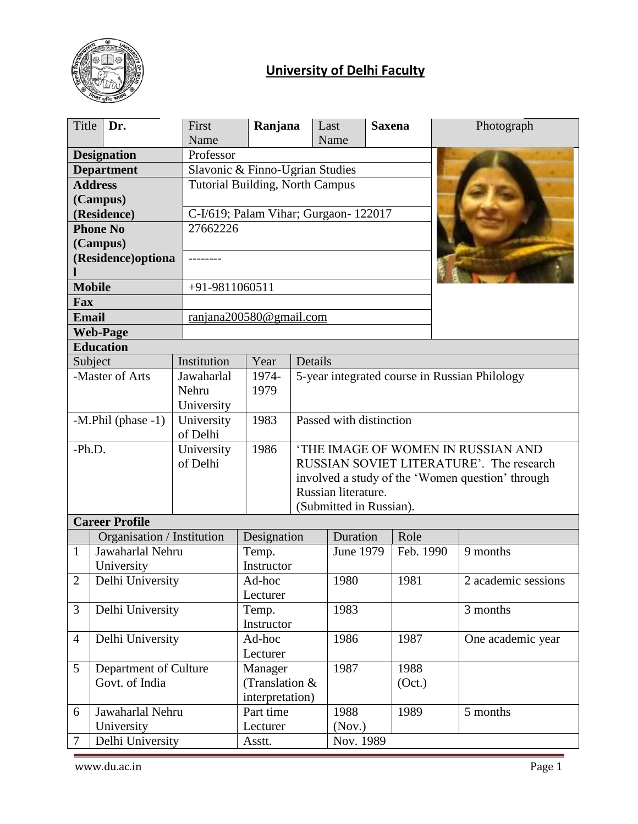

# **University of Delhi Faculty**

| Title              | Dr.                        | First<br>Name  | Ranjana                                                                   |                                               | Last<br>Name            | <b>Saxena</b> |           | Photograph                                       |
|--------------------|----------------------------|----------------|---------------------------------------------------------------------------|-----------------------------------------------|-------------------------|---------------|-----------|--------------------------------------------------|
|                    | <b>Designation</b>         | Professor      |                                                                           |                                               |                         |               |           |                                                  |
| <b>Department</b>  |                            |                |                                                                           |                                               |                         |               |           |                                                  |
| <b>Address</b>     |                            |                | Slavonic & Finno-Ugrian Studies<br><b>Tutorial Building, North Campus</b> |                                               |                         |               |           |                                                  |
|                    | (Campus)                   |                |                                                                           |                                               |                         |               |           |                                                  |
|                    | (Residence)                |                | C-I/619; Palam Vihar; Gurgaon- 122017                                     |                                               |                         |               |           |                                                  |
|                    | <b>Phone No</b>            | 27662226       |                                                                           |                                               |                         |               |           |                                                  |
|                    | (Campus)                   |                |                                                                           |                                               |                         |               |           |                                                  |
|                    | (Residence)optiona         |                |                                                                           |                                               |                         |               |           |                                                  |
|                    |                            |                |                                                                           |                                               |                         |               |           |                                                  |
|                    | <b>Mobile</b>              | +91-9811060511 |                                                                           |                                               |                         |               |           |                                                  |
| Fax                |                            |                |                                                                           |                                               |                         |               |           |                                                  |
| <b>Email</b>       |                            |                | ranjana200580@gmail.com                                                   |                                               |                         |               |           |                                                  |
|                    | <b>Web-Page</b>            |                |                                                                           |                                               |                         |               |           |                                                  |
|                    | <b>Education</b>           | Institution    | Year                                                                      | Details                                       |                         |               |           |                                                  |
|                    | Subject<br>-Master of Arts | Jawaharlal     | 1974-                                                                     |                                               |                         |               |           |                                                  |
|                    |                            | Nehru          | 1979                                                                      | 5-year integrated course in Russian Philology |                         |               |           |                                                  |
|                    |                            | University     |                                                                           |                                               |                         |               |           |                                                  |
| -M.Phil (phase -1) |                            | University     | 1983                                                                      | Passed with distinction                       |                         |               |           |                                                  |
|                    |                            | of Delhi       |                                                                           |                                               |                         |               |           |                                                  |
| $-Ph.D.$           |                            | University     | 1986                                                                      | 'THE IMAGE OF WOMEN IN RUSSIAN AND            |                         |               |           |                                                  |
|                    |                            | of Delhi       |                                                                           |                                               |                         |               |           | RUSSIAN SOVIET LITERATURE'. The research         |
|                    |                            |                |                                                                           |                                               |                         |               |           | involved a study of the 'Women question' through |
|                    |                            |                |                                                                           |                                               | Russian literature.     |               |           |                                                  |
|                    | <b>Career Profile</b>      |                |                                                                           |                                               | (Submitted in Russian). |               |           |                                                  |
|                    | Organisation / Institution |                | Designation                                                               |                                               | Duration                |               | Role      |                                                  |
| $\mathbf{1}$       | Jawaharlal Nehru           |                | Temp.                                                                     |                                               | June 1979               |               | Feb. 1990 | 9 months                                         |
|                    | University                 |                | Instructor                                                                |                                               |                         |               |           |                                                  |
| $\overline{2}$     | Delhi University           |                | Ad-hoc                                                                    |                                               | 1980                    |               | 1981      | 2 academic sessions                              |
|                    |                            |                | Lecturer                                                                  |                                               |                         |               |           |                                                  |
| 3                  | Delhi University           |                | Temp.                                                                     |                                               | 1983                    |               |           | 3 months                                         |
|                    |                            |                | Instructor                                                                |                                               |                         |               |           |                                                  |
| $\overline{4}$     | Delhi University           |                | Ad-hoc                                                                    |                                               | 1986                    |               | 1987      | One academic year                                |
|                    |                            |                | Lecturer                                                                  |                                               |                         |               |           |                                                  |
| 5                  | Department of Culture      |                | Manager                                                                   |                                               | 1987                    |               | 1988      |                                                  |
| Govt. of India     |                            |                | (Translation &                                                            |                                               |                         |               | (Oct.)    |                                                  |
| 6                  | Jawaharlal Nehru           |                | interpretation)<br>Part time                                              |                                               | 1988                    |               | 1989      | 5 months                                         |
|                    | University                 |                | Lecturer                                                                  |                                               | (Nov.)                  |               |           |                                                  |
| 7                  | Delhi University           |                | Asstt.                                                                    |                                               | Nov. 1989               |               |           |                                                  |
|                    |                            |                |                                                                           |                                               |                         |               |           |                                                  |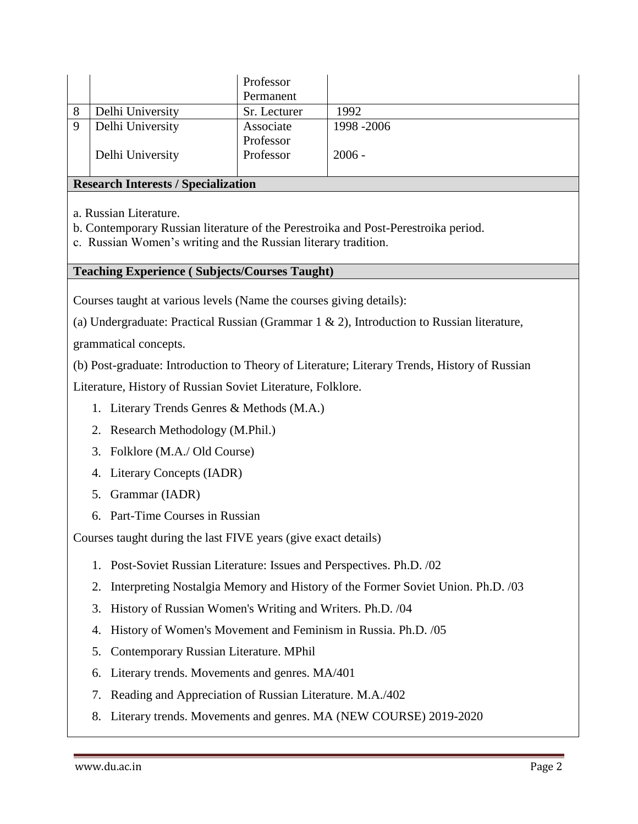|          |                  | Professor    |             |
|----------|------------------|--------------|-------------|
|          |                  | Permanent    |             |
| 8        | Delhi University | Sr. Lecturer | 1992        |
| $\Omega$ | Delhi University | Associate    | 1998 - 2006 |
|          |                  | Professor    |             |
|          | Delhi University | Professor    | $2006 -$    |
|          |                  |              |             |

#### **Research Interests / Specialization**

a. Russian Literature.

b. Contemporary Russian literature of the Perestroika and Post-Perestroika period.

c. Russian Women's writing and the Russian literary tradition.

#### **Teaching Experience ( Subjects/Courses Taught)**

Courses taught at various levels (Name the courses giving details):

(a) Undergraduate: Practical Russian (Grammar 1 & 2), Introduction to Russian literature,

grammatical concepts.

(b) Post-graduate: Introduction to Theory of Literature; Literary Trends, History of Russian

Literature, History of Russian Soviet Literature, Folklore.

- 1. Literary Trends Genres & Methods (M.A.)
- 2. Research Methodology (M.Phil.)
- 3. Folklore (M.A./ Old Course)
- 4. Literary Concepts (IADR)
- 5. Grammar (IADR)
- 6. Part-Time Courses in Russian

Courses taught during the last FIVE years (give exact details)

- 1. Post-Soviet Russian Literature: Issues and Perspectives. Ph.D. /02
- 2. Interpreting Nostalgia Memory and History of the Former Soviet Union. Ph.D. /03
- 3. History of Russian Women's Writing and Writers. Ph.D. /04
- 4. History of Women's Movement and Feminism in Russia. Ph.D. /05
- 5. Contemporary Russian Literature. MPhil
- 6. Literary trends. Movements and genres. MA/401
- 7. Reading and Appreciation of Russian Literature. M.A./402
- 8. Literary trends. Movements and genres. MA (NEW COURSE) 2019-2020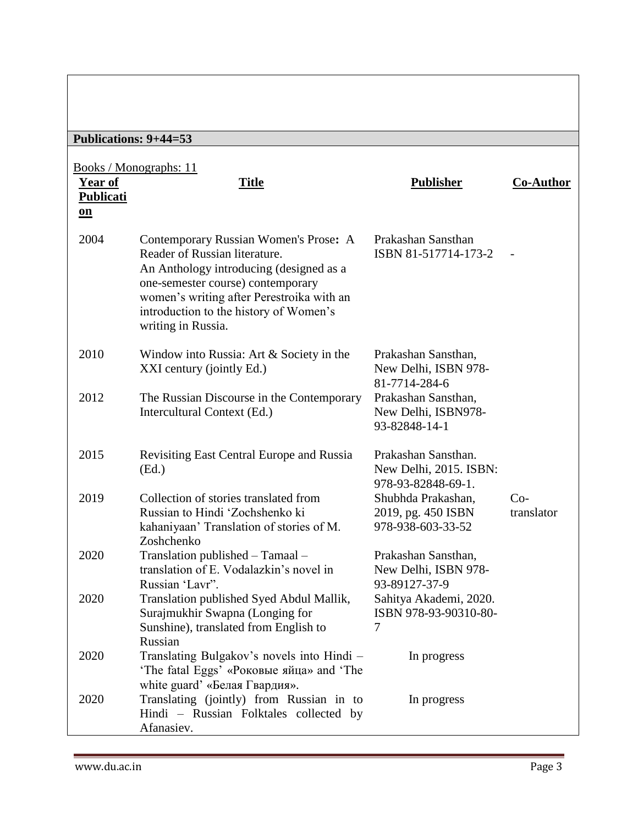# **Publications: 9+44=53**

| Year of<br><b>Publicati</b><br>$\underline{\mathbf{on}}$ | <u>Books / Monographs: 11</u><br><b>Title</b>                                                                                                                                                                                                                       | <b>Publisher</b>                                                    | <b>Co-Author</b>         |
|----------------------------------------------------------|---------------------------------------------------------------------------------------------------------------------------------------------------------------------------------------------------------------------------------------------------------------------|---------------------------------------------------------------------|--------------------------|
| 2004                                                     | Contemporary Russian Women's Prose: A<br>Reader of Russian literature.<br>An Anthology introducing (designed as a<br>one-semester course) contemporary<br>women's writing after Perestroika with an<br>introduction to the history of Women's<br>writing in Russia. | Prakashan Sansthan<br>ISBN 81-517714-173-2                          | $\overline{\phantom{a}}$ |
| 2010                                                     | Window into Russia: Art $&$ Society in the<br>XXI century (jointly Ed.)                                                                                                                                                                                             | Prakashan Sansthan,<br>New Delhi, ISBN 978-<br>81-7714-284-6        |                          |
| 2012                                                     | The Russian Discourse in the Contemporary<br>Intercultural Context (Ed.)                                                                                                                                                                                            | Prakashan Sansthan,<br>New Delhi, ISBN978-<br>93-82848-14-1         |                          |
| 2015                                                     | Revisiting East Central Europe and Russia<br>(Ed.)                                                                                                                                                                                                                  | Prakashan Sansthan.<br>New Delhi, 2015. ISBN:<br>978-93-82848-69-1. |                          |
| 2019                                                     | Collection of stories translated from<br>Russian to Hindi 'Zochshenko ki<br>kahaniyaan' Translation of stories of M.<br>Zoshchenko                                                                                                                                  | Shubhda Prakashan,<br>2019, pg. 450 ISBN<br>978-938-603-33-52       | $Co-$<br>translator      |
| 2020                                                     | Translation published - Tamaal -<br>translation of E. Vodalazkin's novel in<br>Russian 'Lavr".                                                                                                                                                                      | Prakashan Sansthan,<br>New Delhi, ISBN 978-<br>93-89127-37-9        |                          |
| 2020                                                     | Translation published Syed Abdul Mallik,<br>Surajmukhir Swapna (Longing for<br>Sunshine), translated from English to<br>Russian                                                                                                                                     | Sahitya Akademi, 2020.<br>ISBN 978-93-90310-80-<br>7                |                          |
| 2020                                                     | Translating Bulgakov's novels into Hindi -<br>'The fatal Eggs' «Роковые яйца» and 'The<br>white guard' «Белая Гвардия».                                                                                                                                             | In progress                                                         |                          |
| 2020                                                     | Translating (jointly) from Russian in to<br>Hindi - Russian Folktales collected by<br>Afanasiev.                                                                                                                                                                    | In progress                                                         |                          |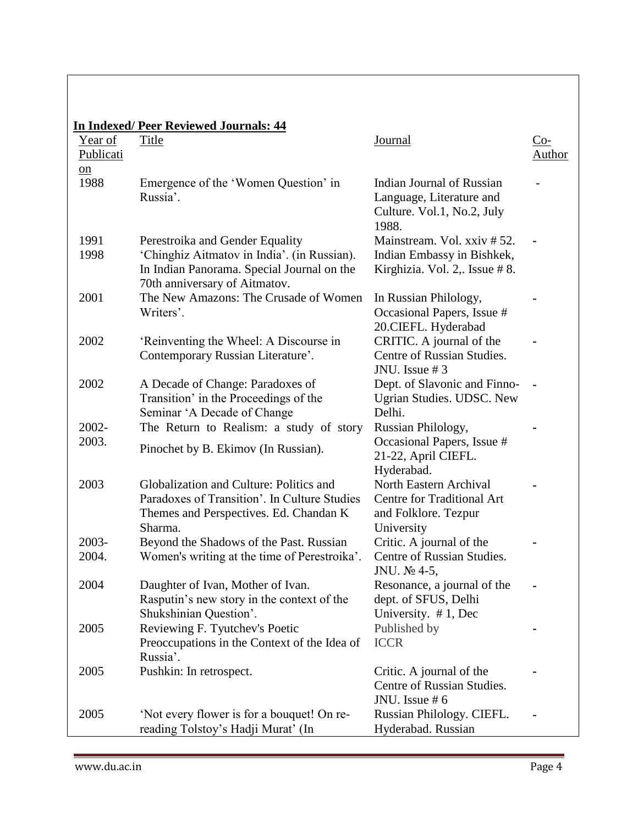|                         | <b>In Indexed/Peer Reviewed Journals: 44</b> |                               |               |
|-------------------------|----------------------------------------------|-------------------------------|---------------|
| Year of                 | Title                                        | Journal                       | $Co-$         |
| Publicati               |                                              |                               | <b>Author</b> |
| $\underline{\text{on}}$ |                                              |                               |               |
| 1988                    | Emergence of the 'Women Question' in         | Indian Journal of Russian     |               |
|                         | Russia'.                                     | Language, Literature and      |               |
|                         |                                              | Culture. Vol.1, No.2, July    |               |
|                         |                                              | 1988.                         |               |
| 1991                    | Perestroika and Gender Equality              | Mainstream. Vol. xxiv # 52.   |               |
| 1998                    | 'Chinghiz Aitmatov in India'. (in Russian).  | Indian Embassy in Bishkek,    |               |
|                         | In Indian Panorama. Special Journal on the   | Kirghizia. Vol. 2,. Issue #8. |               |
|                         | 70th anniversary of Aitmatov.                |                               |               |
| 2001                    | The New Amazons: The Crusade of Women        | In Russian Philology,         |               |
|                         | Writers'.                                    | Occasional Papers, Issue #    |               |
|                         |                                              | 20.CIEFL. Hyderabad           |               |
| 2002                    | 'Reinventing the Wheel: A Discourse in       | CRITIC. A journal of the      |               |
|                         | Contemporary Russian Literature'.            | Centre of Russian Studies.    |               |
|                         |                                              | JNU. Issue $#3$               |               |
| 2002                    | A Decade of Change: Paradoxes of             | Dept. of Slavonic and Finno-  |               |
|                         | Transition' in the Proceedings of the        | Ugrian Studies. UDSC. New     |               |
|                         | Seminar 'A Decade of Change                  | Delhi.                        |               |
| $2002 -$                | The Return to Realism: a study of story      | Russian Philology,            |               |
| 2003.                   | Pinochet by B. Ekimov (In Russian).          | Occasional Papers, Issue #    |               |
|                         |                                              | 21-22, April CIEFL.           |               |
|                         |                                              | Hyderabad.                    |               |
| 2003                    | Globalization and Culture: Politics and      | North Eastern Archival        |               |
|                         | Paradoxes of Transition'. In Culture Studies | Centre for Traditional Art    |               |
|                         | Themes and Perspectives. Ed. Chandan K       | and Folklore. Tezpur          |               |
|                         | Sharma.                                      | University                    |               |
| $2003 -$                | Beyond the Shadows of the Past. Russian      | Critic. A journal of the      |               |
| 2004.                   | Women's writing at the time of Perestroika'. | Centre of Russian Studies.    |               |
|                         |                                              | JNU. № 4-5,                   |               |
| 2004                    | Daughter of Ivan, Mother of Ivan.            | Resonance, a journal of the   |               |
|                         | Rasputin's new story in the context of the   | dept. of SFUS, Delhi          |               |
|                         | Shukshinian Question'.                       | University. $# 1$ , Dec       |               |
| 2005                    | Reviewing F. Tyutchev's Poetic               | Published by                  |               |
|                         | Preoccupations in the Context of the Idea of | <b>ICCR</b>                   |               |
|                         | Russia'.                                     |                               |               |
| 2005                    | Pushkin: In retrospect.                      | Critic. A journal of the      |               |
|                         |                                              | Centre of Russian Studies.    |               |
|                         |                                              | JNU. Issue $# 6$              |               |
| 2005                    | 'Not every flower is for a bouquet! On re-   | Russian Philology. CIEFL.     |               |
|                         | reading Tolstoy's Hadji Murat' (In           | Hyderabad. Russian            |               |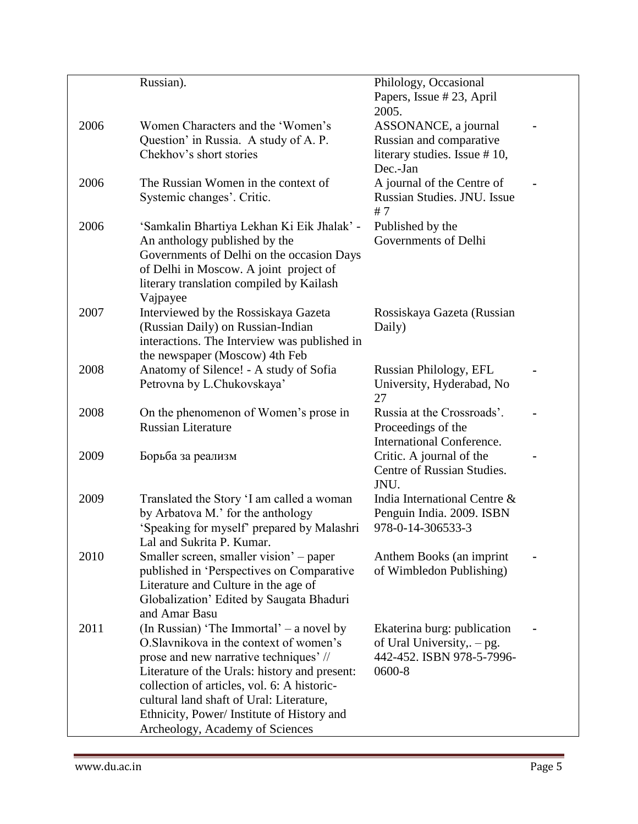|      | Russian).                                                                        | Philology, Occasional                    |  |
|------|----------------------------------------------------------------------------------|------------------------------------------|--|
|      |                                                                                  | Papers, Issue #23, April                 |  |
|      |                                                                                  | 2005.                                    |  |
| 2006 | Women Characters and the 'Women's                                                | ASSONANCE, a journal                     |  |
|      | Question' in Russia. A study of A. P.                                            | Russian and comparative                  |  |
|      | Chekhov's short stories                                                          | literary studies. Issue #10,             |  |
|      |                                                                                  | Dec.-Jan                                 |  |
| 2006 | The Russian Women in the context of                                              | A journal of the Centre of               |  |
|      | Systemic changes'. Critic.                                                       | Russian Studies. JNU. Issue              |  |
| 2006 |                                                                                  | #7                                       |  |
|      | 'Samkalin Bhartiya Lekhan Ki Eik Jhalak' -<br>An anthology published by the      | Published by the<br>Governments of Delhi |  |
|      | Governments of Delhi on the occasion Days                                        |                                          |  |
|      | of Delhi in Moscow. A joint project of                                           |                                          |  |
|      | literary translation compiled by Kailash                                         |                                          |  |
|      | Vajpayee                                                                         |                                          |  |
| 2007 | Interviewed by the Rossiskaya Gazeta                                             | Rossiskaya Gazeta (Russian               |  |
|      | (Russian Daily) on Russian-Indian                                                | Daily)                                   |  |
|      | interactions. The Interview was published in                                     |                                          |  |
|      | the newspaper (Moscow) 4th Feb                                                   |                                          |  |
| 2008 | Anatomy of Silence! - A study of Sofia                                           | Russian Philology, EFL                   |  |
|      | Petrovna by L.Chukovskaya'                                                       | University, Hyderabad, No<br>27          |  |
| 2008 | On the phenomenon of Women's prose in                                            | Russia at the Crossroads'.               |  |
|      | <b>Russian Literature</b>                                                        | Proceedings of the                       |  |
|      |                                                                                  | <b>International Conference.</b>         |  |
| 2009 | Борьба за реализм                                                                | Critic. A journal of the                 |  |
|      |                                                                                  | Centre of Russian Studies.               |  |
|      |                                                                                  | JNU.                                     |  |
| 2009 | Translated the Story 'I am called a woman                                        | India International Centre &             |  |
|      | by Arbatova M.' for the anthology                                                | Penguin India. 2009. ISBN                |  |
|      | 'Speaking for myself' prepared by Malashri                                       | 978-0-14-306533-3                        |  |
|      | Lal and Sukrita P. Kumar.                                                        |                                          |  |
| 2010 | Smaller screen, smaller vision' – paper                                          | Anthem Books (an imprint                 |  |
|      | published in 'Perspectives on Comparative                                        | of Wimbledon Publishing)                 |  |
|      | Literature and Culture in the age of<br>Globalization' Edited by Saugata Bhaduri |                                          |  |
|      | and Amar Basu                                                                    |                                          |  |
| 2011 | (In Russian) 'The Immortal' – a novel by                                         | Ekaterina burg: publication              |  |
|      | O.Slavnikova in the context of women's                                           | of Ural University, $-$ pg.              |  |
|      | prose and new narrative techniques' //                                           | 442-452. ISBN 978-5-7996-                |  |
|      | Literature of the Urals: history and present:                                    | 0600-8                                   |  |
|      | collection of articles, vol. 6: A historic-                                      |                                          |  |
|      | cultural land shaft of Ural: Literature,                                         |                                          |  |
|      | Ethnicity, Power/Institute of History and                                        |                                          |  |
|      | Archeology, Academy of Sciences                                                  |                                          |  |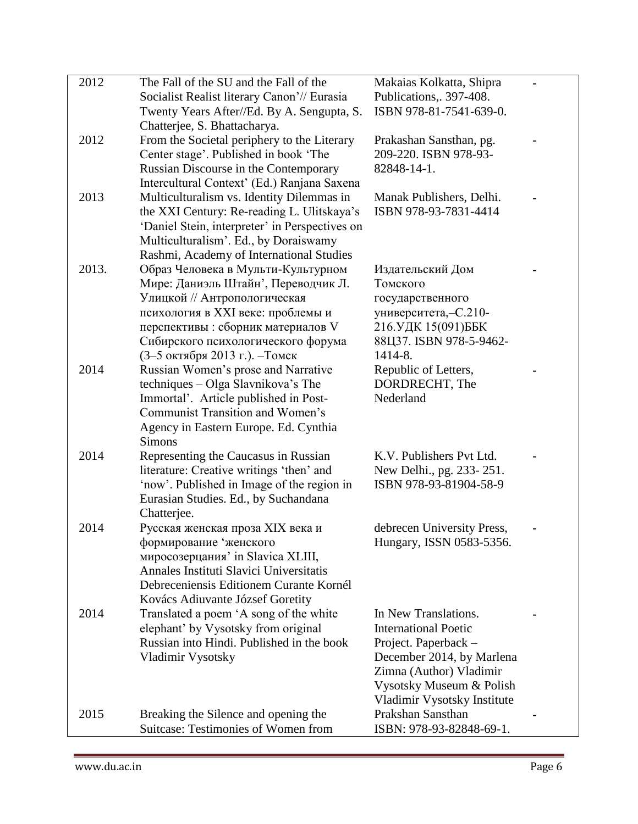| 2012  | The Fall of the SU and the Fall of the         | Makaias Kolkatta, Shipra                         |  |
|-------|------------------------------------------------|--------------------------------------------------|--|
|       | Socialist Realist literary Canon'// Eurasia    | Publications, 397-408.                           |  |
|       | Twenty Years After//Ed. By A. Sengupta, S.     | ISBN 978-81-7541-639-0.                          |  |
|       | Chatterjee, S. Bhattacharya.                   |                                                  |  |
| 2012  | From the Societal periphery to the Literary    | Prakashan Sansthan, pg.                          |  |
|       | Center stage'. Published in book 'The          | 209-220. ISBN 978-93-                            |  |
|       | Russian Discourse in the Contemporary          | 82848-14-1.                                      |  |
|       | Intercultural Context' (Ed.) Ranjana Saxena    |                                                  |  |
| 2013  | Multiculturalism vs. Identity Dilemmas in      | Manak Publishers, Delhi.                         |  |
|       | the XXI Century: Re-reading L. Ulitskaya's     | ISBN 978-93-7831-4414                            |  |
|       | 'Daniel Stein, interpreter' in Perspectives on |                                                  |  |
|       | Multiculturalism'. Ed., by Doraiswamy          |                                                  |  |
|       | Rashmi, Academy of International Studies       |                                                  |  |
| 2013. | Образ Человека в Мульти-Культурном             | Издательский Дом                                 |  |
|       | Мире: Даниэль Штайн', Переводчик Л.            | Томского                                         |  |
|       | Улицкой // Антропологическая                   | государственного                                 |  |
|       | психология в XXI веке: проблемы и              | университета, - С.210-                           |  |
|       | перспективы: сборник материалов V              | 216.УДК 15(091)ББК                               |  |
|       | Сибирского психологического форума             | 88Ц37. ISBN 978-5-9462-                          |  |
|       | (3-5 октября 2013 г.). - Томск                 | 1414-8.                                          |  |
| 2014  | Russian Women's prose and Narrative            | Republic of Letters,                             |  |
|       | techniques - Olga Slavnikova's The             | DORDRECHT, The                                   |  |
|       | Immortal'. Article published in Post-          | Nederland                                        |  |
|       | Communist Transition and Women's               |                                                  |  |
|       | Agency in Eastern Europe. Ed. Cynthia          |                                                  |  |
|       | <b>Simons</b>                                  |                                                  |  |
| 2014  | Representing the Caucasus in Russian           | K.V. Publishers Pvt Ltd.                         |  |
|       | literature: Creative writings 'then' and       | New Delhi., pg. 233-251.                         |  |
|       | 'now'. Published in Image of the region in     | ISBN 978-93-81904-58-9                           |  |
|       | Eurasian Studies. Ed., by Suchandana           |                                                  |  |
|       | Chatterjee.                                    |                                                  |  |
| 2014  | Русская женская проза XIX века и               | debrecen University Press,                       |  |
|       | формирование 'женского                         | Hungary, ISSN 0583-5356.                         |  |
|       | миросозерцания' in Slavica XLIII,              |                                                  |  |
|       | Annales Instituti Slavici Universitatis        |                                                  |  |
|       | Debreceniensis Editionem Curante Kornél        |                                                  |  |
|       | Kovács Adiuvante József Goretity               |                                                  |  |
| 2014  | Translated a poem 'A song of the white         | In New Translations.                             |  |
|       | elephant' by Vysotsky from original            | <b>International Poetic</b>                      |  |
|       | Russian into Hindi. Published in the book      | Project. Paperback -                             |  |
|       | Vladimir Vysotsky                              | December 2014, by Marlena                        |  |
|       |                                                | Zimna (Author) Vladimir                          |  |
|       |                                                | Vysotsky Museum & Polish                         |  |
|       |                                                | Vladimir Vysotsky Institute<br>Prakshan Sansthan |  |
| 2015  | Breaking the Silence and opening the           |                                                  |  |
|       | Suitcase: Testimonies of Women from            | ISBN: 978-93-82848-69-1.                         |  |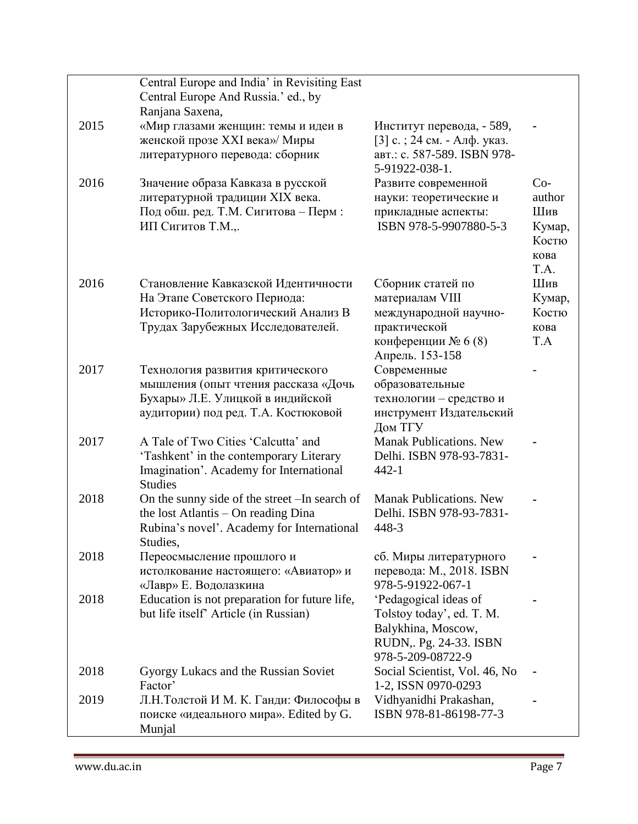|      | Central Europe and India' in Revisiting East   |                                           |        |
|------|------------------------------------------------|-------------------------------------------|--------|
|      | Central Europe And Russia.' ed., by            |                                           |        |
|      | Ranjana Saxena,                                |                                           |        |
| 2015 | «Мир глазами женщин: темы и идеи в             | Институт перевода, - 589,                 |        |
|      | женской прозе XXI века»/ Миры                  | [3] с. ; 24 см. - Алф. указ.              |        |
|      | литературного перевода: сборник                | авт.: с. 587-589. ISBN 978-               |        |
|      |                                                | 5-91922-038-1.                            |        |
| 2016 | Значение образа Кавказа в русской              | Развите современной                       | $Co-$  |
|      | литературной традиции XIX века.                | науки: теоретические и                    | author |
|      | Под обш. ред. Т.М. Сигитова - Перм:            | прикладные аспекты:                       | Шив    |
|      | ИП Сигитов Т.М.,.                              | ISBN 978-5-9907880-5-3                    | Кумар, |
|      |                                                |                                           | Костю  |
|      |                                                |                                           | кова   |
|      |                                                |                                           | T.A.   |
| 2016 | Становление Кавказской Идентичности            | Сборник статей по                         | Шив    |
|      | На Этапе Советского Периода:                   | материалам VIII                           | Кумар, |
|      | Историко-Политологический Анализ В             | международной научно-                     | Костю  |
|      | Трудах Зарубежных Исследователей.              | практической                              | кова   |
|      |                                                | конференции № 6 (8)                       | T.A    |
|      |                                                | Апрель. 153-158                           |        |
| 2017 | Технология развития критического               | Современные                               |        |
|      | мышления (опыт чтения рассказа «Дочь           | образовательные                           |        |
|      | Бухары» Л.Е. Улицкой в индийской               | технологии - средство и                   |        |
|      | аудитории) под ред. Т.А. Костюковой            | инструмент Издательский                   |        |
| 2017 | A Tale of Two Cities 'Calcutta' and            | Дом ТГУ<br><b>Manak Publications. New</b> |        |
|      | 'Tashkent' in the contemporary Literary        | Delhi. ISBN 978-93-7831-                  |        |
|      | Imagination'. Academy for International        | $442 - 1$                                 |        |
|      | <b>Studies</b>                                 |                                           |        |
| 2018 | On the sunny side of the street - In search of | <b>Manak Publications. New</b>            |        |
|      | the lost Atlantis - On reading Dina            | Delhi. ISBN 978-93-7831-                  |        |
|      | Rubina's novel'. Academy for International     | 448-3                                     |        |
|      | Studies,                                       |                                           |        |
| 2018 | Переосмысление прошлого и                      | сб. Миры литературного                    |        |
|      | истолкование настоящего: «Авиатор» и           | перевода: М., 2018. ISBN                  |        |
|      | «Лавр» Е. Водолазкина                          | 978-5-91922-067-1                         |        |
| 2018 | Education is not preparation for future life,  | 'Pedagogical ideas of                     |        |
|      | but life itself' Article (in Russian)          | Tolstoy today', ed. T. M.                 |        |
|      |                                                | Balykhina, Moscow,                        |        |
|      |                                                | RUDN,. Pg. 24-33. ISBN                    |        |
|      |                                                | 978-5-209-08722-9                         |        |
| 2018 | Gyorgy Lukacs and the Russian Soviet           | Social Scientist, Vol. 46, No             |        |
|      | Factor'                                        | 1-2, ISSN 0970-0293                       |        |
| 2019 | Л.Н.Толстой И М. К. Ганди: Философы в          | Vidhyanidhi Prakashan,                    |        |
|      | поиске «идеального мира». Edited by G.         | ISBN 978-81-86198-77-3                    |        |
|      | Munjal                                         |                                           |        |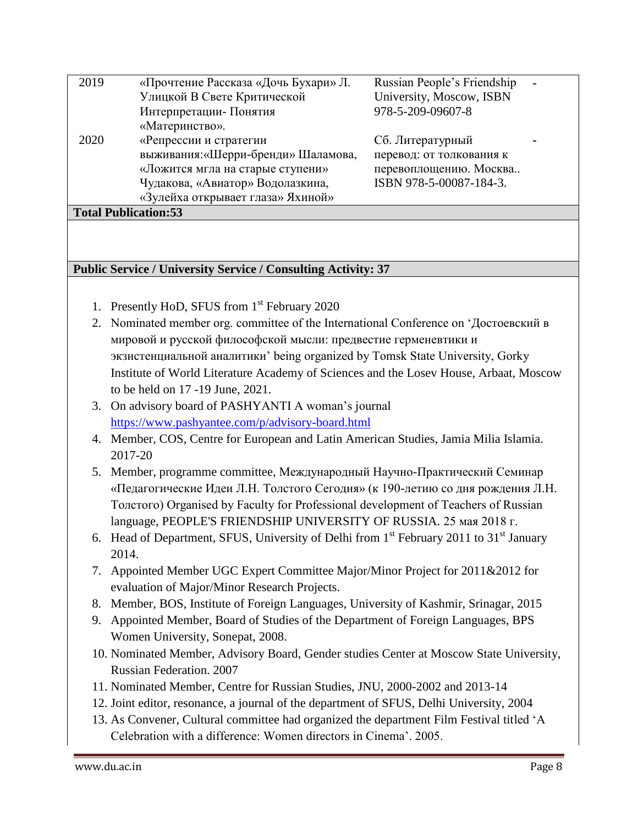| 2019                        | «Прочтение Рассказа «Дочь Бухари» Л. | Russian People's Friendship |  |  |
|-----------------------------|--------------------------------------|-----------------------------|--|--|
|                             | Улицкой В Свете Критической          | University, Moscow, ISBN    |  |  |
|                             | Интерпретации- Понятия               | 978-5-209-09607-8           |  |  |
|                             | «Материнство».                       |                             |  |  |
| 2020                        | «Репрессии и стратегии               | Сб. Литературный            |  |  |
|                             | выживания: «Шерри-бренди» Шаламова,  | перевод: от толкования к    |  |  |
|                             | «Ложится мгла на старые ступени»     | перевоплощению. Москва      |  |  |
|                             | Чудакова, «Авиатор» Водолазкина,     | ISBN 978-5-00087-184-3.     |  |  |
|                             | «Зулейха открывает глаза» Яхиной»    |                             |  |  |
| <b>Total Publication:53</b> |                                      |                             |  |  |

## **Public Service / University Service / Consulting Activity: 37**

- 1. Presently HoD, SFUS from 1<sup>st</sup> February 2020
- 2. Nominated member org. committee of the International Conference on 'Достоевский в мировой и русской философской мысли: предвестие герменевтики и экзистенциальной аналитики' being organized by Tomsk State University, Gorky Institute of World Literature Academy of Sciences and the Losev House, Arbaat, Moscow to be held on 17 -19 June, 2021.
- 3. On advisory board of PASHYANTI A woman's journal <https://www.pashyantee.com/p/advisory-board.html>
- 4. Member, COS, Centre for European and Latin American Studies, Jamia Milia Islamia. 2017-20
- 5. Member, programme committee, Международный Научно-Практический Семинар «Педагогические Идеи Л.Н. Толстого Сегодня» (к 190-летию со дня рождения Л.Н. Толстого) Organised by Faculty for Professional development of Teachers of Russian language, PEOPLE'S FRIENDSHIP UNIVERSITY OF RUSSIA. 25 мая 2018 г.
- 6. Head of Department, SFUS, University of Delhi from  $1<sup>st</sup>$  February 2011 to  $31<sup>st</sup>$  January 2014.
- 7. Appointed Member UGC Expert Committee Major/Minor Project for 2011&2012 for evaluation of Major/Minor Research Projects.
- 8. Member, BOS, Institute of Foreign Languages, University of Kashmir, Srinagar, 2015
- 9. Appointed Member, Board of Studies of the Department of Foreign Languages, BPS Women University, Sonepat, 2008.
- 10. Nominated Member, Advisory Board, Gender studies Center at Moscow State University, Russian Federation. 2007
- 11. Nominated Member, Centre for Russian Studies, JNU, 2000-2002 and 2013-14
- 12. Joint editor, resonance, a journal of the department of SFUS, Delhi University, 2004
- 13. As Convener, Cultural committee had organized the department Film Festival titled 'A Celebration with a difference: Women directors in Cinema'. 2005.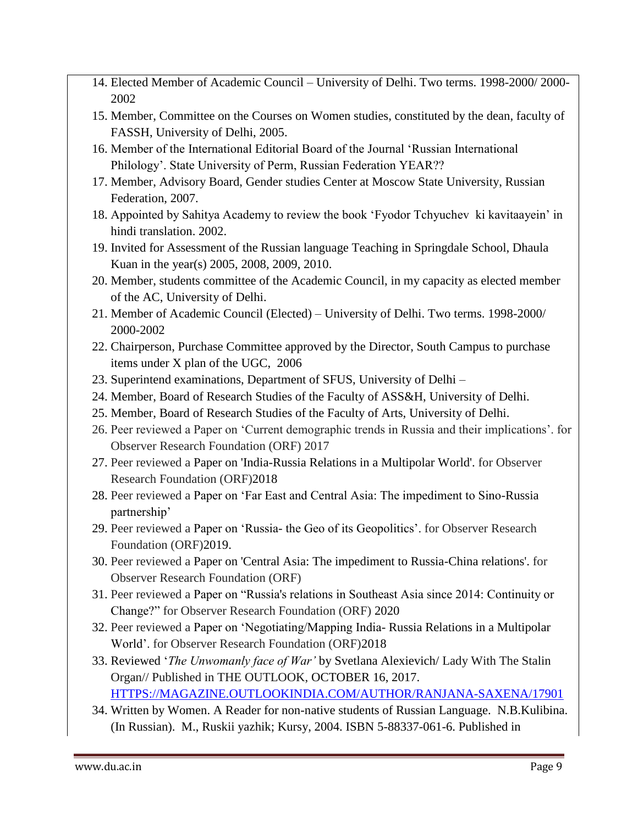- 14. Elected Member of Academic Council University of Delhi. Two terms. 1998-2000/ 2000- 2002
- 15. Member, Committee on the Courses on Women studies, constituted by the dean, faculty of FASSH, University of Delhi, 2005.
- 16. Member of the International Editorial Board of the Journal 'Russian International Philology'. State University of Perm, Russian Federation YEAR??
- 17. Member, Advisory Board, Gender studies Center at Moscow State University, Russian Federation, 2007.
- 18. Appointed by Sahitya Academy to review the book 'Fyodor Tchyuchev ki kavitaayein' in hindi translation. 2002.
- 19. Invited for Assessment of the Russian language Teaching in Springdale School, Dhaula Kuan in the year(s) 2005, 2008, 2009, 2010.
- 20. Member, students committee of the Academic Council, in my capacity as elected member of the AC, University of Delhi.
- 21. Member of Academic Council (Elected) University of Delhi. Two terms. 1998-2000/ 2000-2002
- 22. Chairperson, Purchase Committee approved by the Director, South Campus to purchase items under X plan of the UGC, 2006
- 23. Superintend examinations, Department of SFUS, University of Delhi –
- 24. Member, Board of Research Studies of the Faculty of ASS&H, University of Delhi.
- 25. Member, Board of Research Studies of the Faculty of Arts, University of Delhi.
- 26. Peer reviewed a Paper on 'Current demographic trends in Russia and their implications'. for Observer Research Foundation (ORF) 2017
- 27. Peer reviewed a Paper on 'India-Russia Relations in a Multipolar World'. for Observer Research Foundation (ORF)2018
- 28. Peer reviewed a Paper on 'Far East and Central Asia: The impediment to Sino-Russia partnership'
- 29. Peer reviewed a Paper on 'Russia- the Geo of its Geopolitics'. for Observer Research Foundation (ORF)2019.
- 30. Peer reviewed a Paper on 'Central Asia: The impediment to Russia-China relations'. for Observer Research Foundation (ORF)
- 31. Peer reviewed a Paper on "Russia's relations in Southeast Asia since 2014: Continuity or Change?" for Observer Research Foundation (ORF) 2020
- 32. Peer reviewed a Paper on 'Negotiating/Mapping India- Russia Relations in a Multipolar World'. for Observer Research Foundation (ORF)2018
- 33. Reviewed '*The Unwomanly face of War'* by Svetlana Alexievich/ Lady With The Stalin Organ// Published in THE OUTLOOK, OCTOBER 16, 2017. [HTTPS://MAGAZINE.OUTLOOKINDIA.COM/AUTHOR/RANJANA-SAXENA/17901](https://magazine.outlookindia.com/author/Ranjana-Saxena/17901)
- 34. Written by Women. A Reader for non-native students of Russian Language. N.B.Kulibina. (In Russian). M., Ruskii yazhik; Kursy, 2004. ISBN 5-88337-061-6. Published in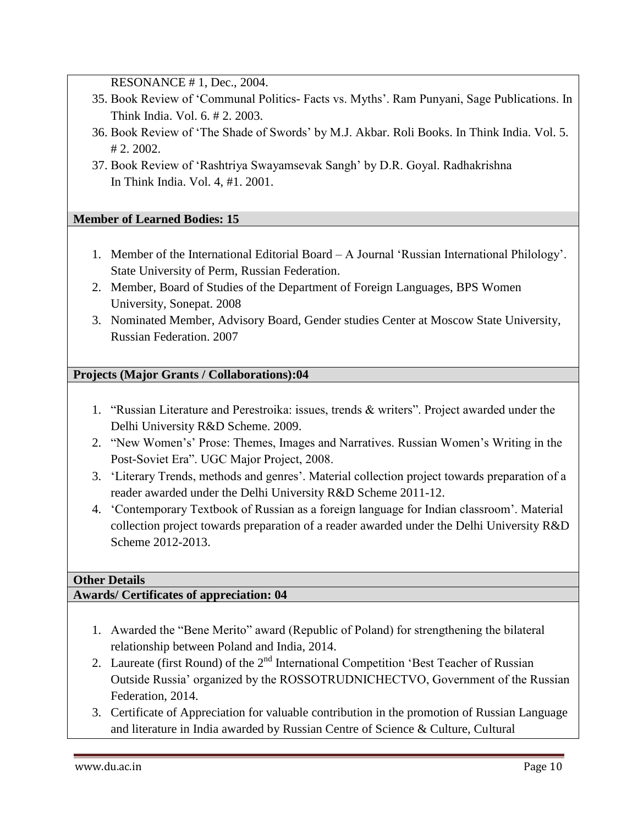RESONANCE # 1, Dec., 2004.

- 35. Book Review of 'Communal Politics- Facts vs. Myths'. Ram Punyani, Sage Publications. In Think India. Vol. 6. # 2. 2003.
- 36. Book Review of 'The Shade of Swords' by M.J. Akbar. Roli Books. In Think India. Vol. 5. # 2. 2002.
- 37. Book Review of 'Rashtriya Swayamsevak Sangh' by D.R. Goyal. Radhakrishna In Think India. Vol. 4, #1. 2001.

# **Member of Learned Bodies: 15**

- 1. Member of the International Editorial Board A Journal 'Russian International Philology'. State University of Perm, Russian Federation.
- 2. Member, Board of Studies of the Department of Foreign Languages, BPS Women University, Sonepat. 2008
- 3. Nominated Member, Advisory Board, Gender studies Center at Moscow State University, Russian Federation. 2007

# **Projects (Major Grants / Collaborations):04**

- 1. "Russian Literature and Perestroika: issues, trends & writers". Project awarded under the Delhi University R&D Scheme. 2009.
- 2. "New Women's' Prose: Themes, Images and Narratives. Russian Women's Writing in the Post-Soviet Era". UGC Major Project, 2008.
- 3. 'Literary Trends, methods and genres'. Material collection project towards preparation of a reader awarded under the Delhi University R&D Scheme 2011-12.
- 4. 'Contemporary Textbook of Russian as a foreign language for Indian classroom'. Material collection project towards preparation of a reader awarded under the Delhi University R&D Scheme 2012-2013.

## **Other Details**

# **Awards/ Certificates of appreciation: 04**

- 1. Awarded the "Bene Merito" award (Republic of Poland) for strengthening the bilateral relationship between Poland and India, 2014.
- 2. Laureate (first Round) of the 2<sup>nd</sup> International Competition 'Best Teacher of Russian Outside Russia' organized by the ROSSOTRUDNICHECTVO, Government of the Russian Federation, 2014.
- 3. Certificate of Appreciation for valuable contribution in the promotion of Russian Language and literature in India awarded by Russian Centre of Science & Culture, Cultural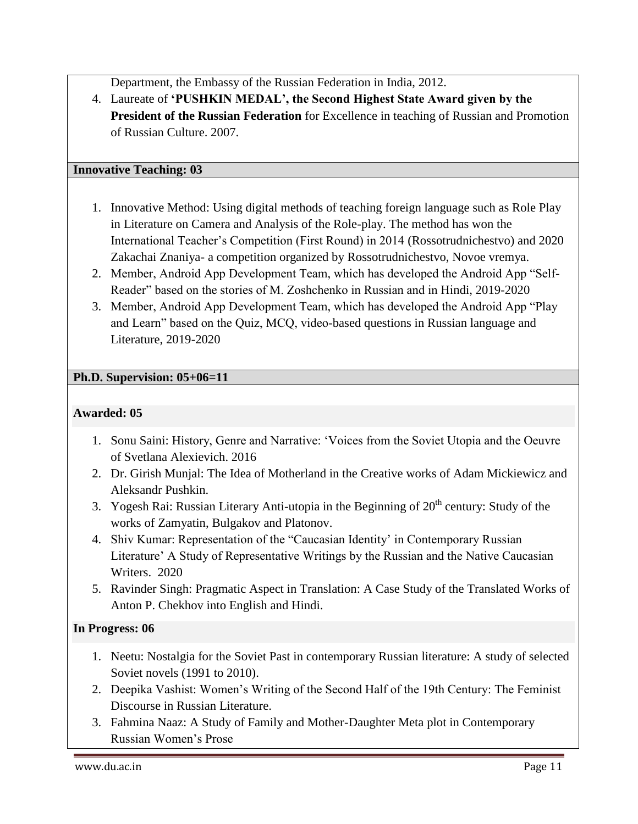Department, the Embassy of the Russian Federation in India, 2012.

4. Laureate of **'PUSHKIN MEDAL', the Second Highest State Award given by the President of the Russian Federation** for Excellence in teaching of Russian and Promotion of Russian Culture. 2007.

## **Innovative Teaching: 03**

- 1. Innovative Method: Using digital methods of teaching foreign language such as Role Play in Literature on Camera and Analysis of the Role-play. The method has won the International Teacher's Competition (First Round) in 2014 (Rossotrudnichestvo) and 2020 Zakachai Znaniya- a competition organized by Rossotrudnichestvo, Novoe vremya.
- 2. Member, Android App Development Team, which has developed the Android App "Self-Reader" based on the stories of M. Zoshchenko in Russian and in Hindi, 2019-2020
- 3. Member, Android App Development Team, which has developed the Android App "Play and Learn" based on the Quiz, MCQ, video-based questions in Russian language and Literature, 2019-2020

## **Ph.D. Supervision: 05+06=11**

#### **Awarded: 05**

- 1. Sonu Saini: History, Genre and Narrative: 'Voices from the Soviet Utopia and the Oeuvre of Svetlana Alexievich. 2016
- 2. Dr. Girish Munjal: The Idea of Motherland in the Creative works of Adam Mickiewicz and Aleksandr Pushkin.
- 3. Yogesh Rai: Russian Literary Anti-utopia in the Beginning of  $20<sup>th</sup>$  century: Study of the works of Zamyatin, Bulgakov and Platonov.
- 4. Shiv Kumar: Representation of the "Caucasian Identity' in Contemporary Russian Literature' A Study of Representative Writings by the Russian and the Native Caucasian Writers. 2020
- 5. Ravinder Singh: Pragmatic Aspect in Translation: A Case Study of the Translated Works of Anton P. Chekhov into English and Hindi.

#### **In Progress: 06**

- 1. Neetu: Nostalgia for the Soviet Past in contemporary Russian literature: A study of selected Soviet novels (1991 to 2010).
- 2. Deepika Vashist: Women's Writing of the Second Half of the 19th Century: The Feminist Discourse in Russian Literature.
- 3. Fahmina Naaz: A Study of Family and Mother-Daughter Meta plot in Contemporary Russian Women's Prose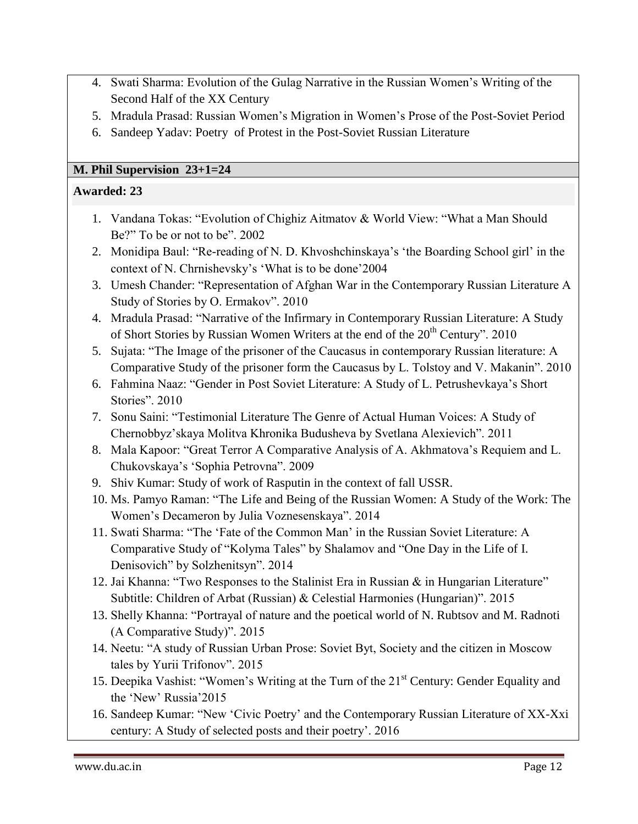- 4. Swati Sharma: Evolution of the Gulag Narrative in the Russian Women's Writing of the Second Half of the XX Century
- 5. Mradula Prasad: Russian Women's Migration in Women's Prose of the Post-Soviet Period
- 6. Sandeep Yadav: Poetry of Protest in the Post-Soviet Russian Literature

## **M. Phil Supervision 23+1=24**

## **Awarded: 23**

- 1. Vandana Tokas: "Evolution of Chighiz Aitmatov & World View: "What a Man Should Be?" To be or not to be". 2002
- 2. Monidipa Baul: "Re-reading of N. D. Khvoshchinskaya's 'the Boarding School girl' in the context of N. Chrnishevsky's 'What is to be done'2004
- 3. Umesh Chander: "Representation of Afghan War in the Contemporary Russian Literature A Study of Stories by O. Ermakov". 2010
- 4. Mradula Prasad: "Narrative of the Infirmary in Contemporary Russian Literature: A Study of Short Stories by Russian Women Writers at the end of the 20<sup>th</sup> Century". 2010
- 5. Sujata: "The Image of the prisoner of the Caucasus in contemporary Russian literature: A Comparative Study of the prisoner form the Caucasus by L. Tolstoy and V. Makanin". 2010
- 6. Fahmina Naaz: "Gender in Post Soviet Literature: A Study of L. Petrushevkaya's Short Stories". 2010
- 7. Sonu Saini: "Testimonial Literature The Genre of Actual Human Voices: A Study of Chernobbyz'skaya Molitva Khronika Budusheva by Svetlana Alexievich". 2011
- 8. Mala Kapoor: "Great Terror A Comparative Analysis of A. Akhmatova's Requiem and L. Chukovskaya's 'Sophia Petrovna". 2009
- 9. Shiv Kumar: Study of work of Rasputin in the context of fall USSR.
- 10. Ms. Pamyo Raman: "The Life and Being of the Russian Women: A Study of the Work: The Women's Decameron by Julia Voznesenskaya". 2014
- 11. Swati Sharma: "The 'Fate of the Common Man' in the Russian Soviet Literature: A Comparative Study of "Kolyma Tales" by Shalamov and "One Day in the Life of I. Denisovich" by Solzhenitsyn". 2014
- 12. Jai Khanna: "Two Responses to the Stalinist Era in Russian & in Hungarian Literature" Subtitle: Children of Arbat (Russian) & Celestial Harmonies (Hungarian)". 2015
- 13. Shelly Khanna: "Portrayal of nature and the poetical world of N. Rubtsov and M. Radnoti (A Comparative Study)". 2015
- 14. Neetu: "A study of Russian Urban Prose: Soviet Byt, Society and the citizen in Moscow tales by Yurii Trifonov". 2015
- 15. Deepika Vashist: "Women's Writing at the Turn of the 21<sup>st</sup> Century: Gender Equality and the 'New' Russia'2015
- 16. Sandeep Kumar: "New 'Civic Poetry' and the Contemporary Russian Literature of XX-Xxi century: A Study of selected posts and their poetry'. 2016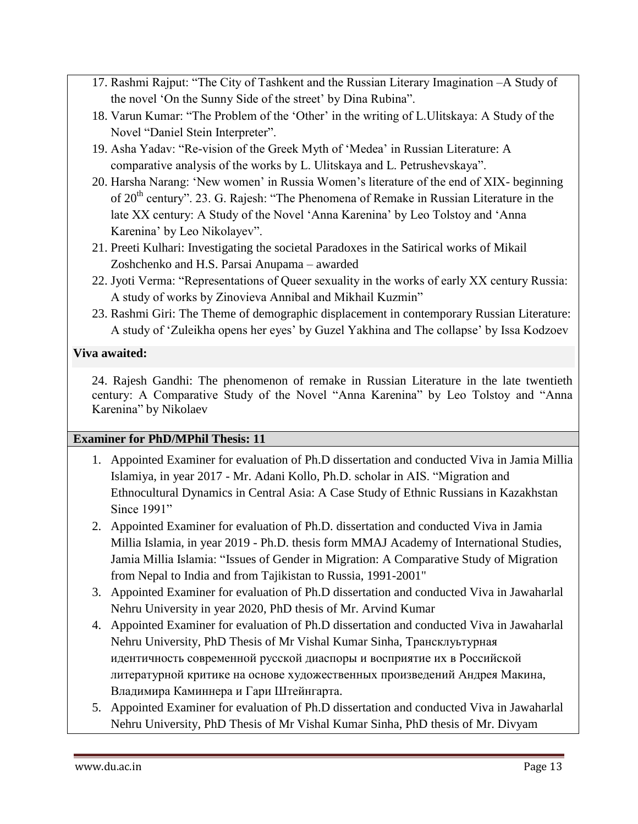- 17. Rashmi Rajput: "The City of Tashkent and the Russian Literary Imagination –A Study of the novel 'On the Sunny Side of the street' by Dina Rubina".
- 18. Varun Kumar: "The Problem of the 'Other' in the writing of L.Ulitskaya: A Study of the Novel "Daniel Stein Interpreter".
- 19. Asha Yadav: "Re-vision of the Greek Myth of 'Medea' in Russian Literature: A comparative analysis of the works by L. Ulitskaya and L. Petrushevskaya".
- 20. Harsha Narang: 'New women' in Russia Women's literature of the end of XIX- beginning of  $20<sup>th</sup>$  century". 23. G. Rajesh: "The Phenomena of Remake in Russian Literature in the late XX century: A Study of the Novel 'Anna Karenina' by Leo Tolstoy and 'Anna Karenina' by Leo Nikolayev".
- 21. Preeti Kulhari: Investigating the societal Paradoxes in the Satirical works of Mikail Zoshchenko and H.S. Parsai Anupama – awarded
- 22. Jyoti Verma: "Representations of Queer sexuality in the works of early XX century Russia: A study of works by Zinovieva Annibal and Mikhail Kuzmin"
- 23. Rashmi Giri: The Theme of demographic displacement in contemporary Russian Literature: A study of 'Zuleikha opens her eyes' by Guzel Yakhina and The collapse' by Issa Kodzoev

# **Viva awaited:**

24. Rajesh Gandhi: The phenomenon of remake in Russian Literature in the late twentieth century: A Comparative Study of the Novel "Anna Karenina" by Leo Tolstoy and "Anna Karenina" by Nikolaev

## **Examiner for PhD/MPhil Thesis: 11**

- 1. Appointed Examiner for evaluation of Ph.D dissertation and conducted Viva in Jamia Millia Islamiya, in year 2017 - Mr. Adani Kollo, Ph.D. scholar in AIS. "Migration and Ethnocultural Dynamics in Central Asia: A Case Study of Ethnic Russians in Kazakhstan Since 1991"
- 2. Appointed Examiner for evaluation of Ph.D. dissertation and conducted Viva in Jamia Millia Islamia, in year 2019 - Ph.D. thesis form MMAJ Academy of International Studies, Jamia Millia Islamia: "Issues of Gender in Migration: A Comparative Study of Migration from Nepal to India and from Tajikistan to Russia, 1991-2001"
- 3. Appointed Examiner for evaluation of Ph.D dissertation and conducted Viva in Jawaharlal Nehru University in year 2020, PhD thesis of Mr. Arvind Kumar
- 4. Appointed Examiner for evaluation of Ph.D dissertation and conducted Viva in Jawaharlal Nehru University, PhD Thesis of Mr Vishal Kumar Sinha, Трансклуьтурная идентичность современной русской диаспоры и восприятие их в Российской литературной критике на основе художественных произведений Андрея Макина, Владимира Каминнера и Гари Штейнгарта.
- 5. Appointed Examiner for evaluation of Ph.D dissertation and conducted Viva in Jawaharlal Nehru University, PhD Thesis of Mr Vishal Kumar Sinha, PhD thesis of Mr. Divyam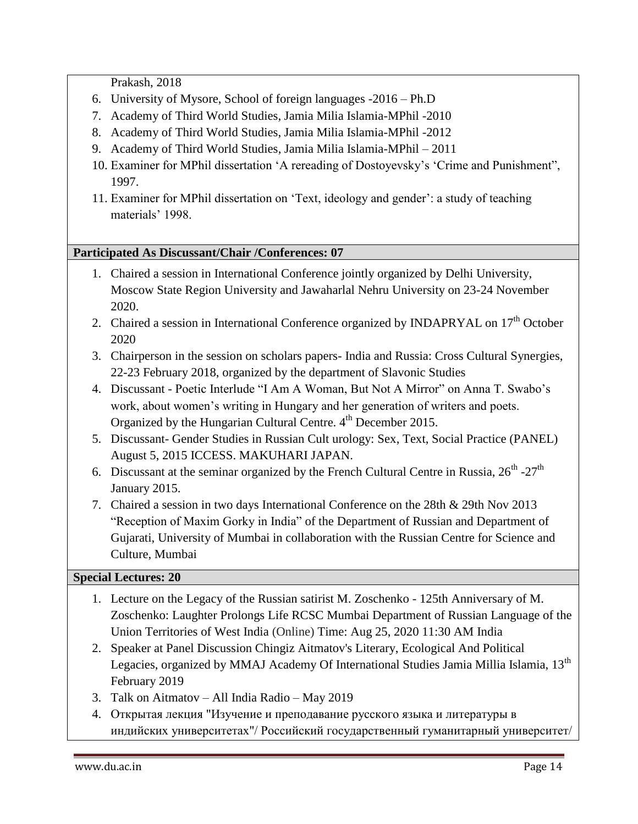Prakash, 2018

- 6. University of Mysore, School of foreign languages -2016 Ph.D
- 7. Academy of Third World Studies, Jamia Milia Islamia-MPhil -2010
- 8. Academy of Third World Studies, Jamia Milia Islamia-MPhil -2012
- 9. Academy of Third World Studies, Jamia Milia Islamia-MPhil 2011
- 10. Examiner for MPhil dissertation 'A rereading of Dostoyevsky's 'Crime and Punishment", 1997.
- 11. Examiner for MPhil dissertation on 'Text, ideology and gender': a study of teaching materials' 1998.

#### **Participated As Discussant/Chair /Conferences: 07**

- 1. Chaired a session in International Conference jointly organized by Delhi University, Moscow State Region University and Jawaharlal Nehru University on 23-24 November 2020.
- 2. Chaired a session in International Conference organized by INDAPRYAL on 17<sup>th</sup> October 2020
- 3. Chairperson in the session on scholars papers- India and Russia: Cross Cultural Synergies, 22-23 February 2018, organized by the department of Slavonic Studies
- 4. Discussant Poetic Interlude "I Am A Woman, But Not A Mirror" on Anna T. Swabo's work, about women's writing in Hungary and her generation of writers and poets. Organized by the Hungarian Cultural Centre. 4<sup>th</sup> December 2015.
- 5. Discussant- Gender Studies in Russian Cult urology: Sex, Text, Social Practice (PANEL) August 5, 2015 ICCESS. MAKUHARI JAPAN.
- 6. Discussant at the seminar organized by the French Cultural Centre in Russia,  $26^{th}$  - $27^{th}$ January 2015.
- 7. Chaired a session in two days International Conference on the 28th & 29th Nov 2013 "Reception of Maxim Gorky in India" of the Department of Russian and Department of Gujarati, University of Mumbai in collaboration with the Russian Centre for Science and Culture, Mumbai

#### **Special Lectures: 20**

- 1. Lecture on the Legacy of the Russian satirist M. Zoschenko 125th Anniversary of M. Zoschenko: Laughter Prolongs Life RCSC Mumbai Department of Russian Language of the Union Territories of West India (Online) Time: Aug 25, 2020 11:30 AM India
- 2. Speaker at Panel Discussion Chingiz Aitmatov's Literary, Ecological And Political Legacies, organized by MMAJ Academy Of International Studies Jamia Millia Islamia, 13<sup>th</sup> February 2019
- 3. Talk on Aitmatov All India Radio May 2019
- 4. Открытая лекция "Изучение и преподавание русского языка и литературы в индийских университетах"/ Российский государственный гуманитарный университет/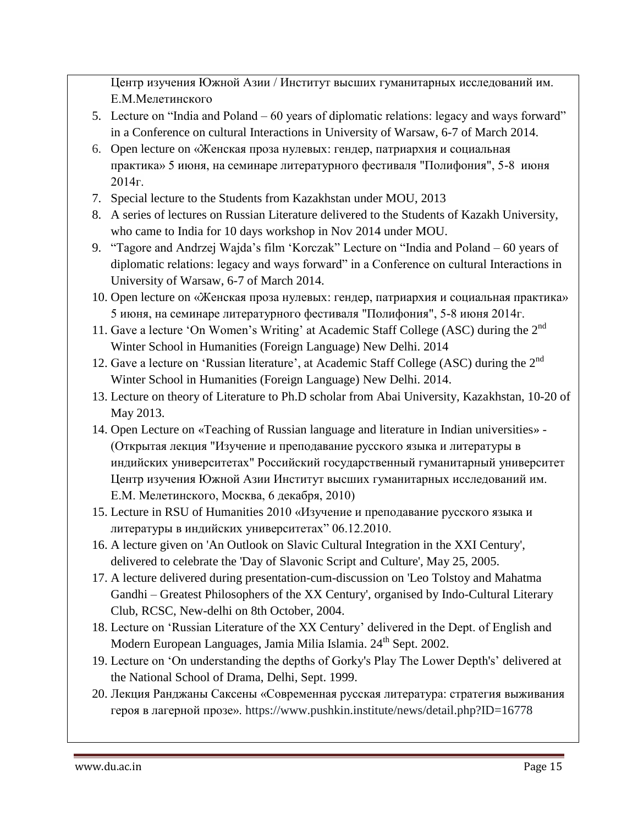Центр изучения Южной Азии / Институт высших гуманитарных исследований им. Е.М.Мелетинского

- 5. Lecture on "India and Poland 60 years of diplomatic relations: legacy and ways forward" in a Conference on cultural Interactions in University of Warsaw, 6-7 of March 2014.
- 6. Open lecture on «Женская проза нулевых: гендер, патриархия и социальная практика» 5 июня, на семинаре литературного фестиваля "Полифония", 5-8 июня 2014г.
- 7. Special lecture to the Students from Kazakhstan under MOU, 2013
- 8. A series of lectures on Russian Literature delivered to the Students of Kazakh University, who came to India for 10 days workshop in Nov 2014 under MOU.
- 9. "Tagore and Andrzej Wajda's film 'Korczak" Lecture on "India and Poland 60 years of diplomatic relations: legacy and ways forward" in a Conference on cultural Interactions in University of Warsaw, 6-7 of March 2014.
- 10. Open lecture on «Женская проза нулевых: гендер, патриархия и социальная практика» 5 июня, на семинаре литературного фестиваля "Полифония", 5-8 июня 2014г.
- 11. Gave a lecture 'On Women's Writing' at Academic Staff College (ASC) during the 2nd Winter School in Humanities (Foreign Language) New Delhi. 2014
- 12. Gave a lecture on 'Russian literature', at Academic Staff College (ASC) during the 2<sup>nd</sup> Winter School in Humanities (Foreign Language) New Delhi. 2014.
- 13. Lecture on theory of Literature to Ph.D scholar from Abai University, Kazakhstan, 10-20 of May 2013.
- 14. Open Lecture on «Teaching of Russian language and literature in Indian universities» (Открытая лекция "Изучение и преподавание русского языка и литературы в индийских университетах" Российский государственный гуманитарный университет Центр изучения Южной Азии Институт высших гуманитарных исследований им. Е.М. Мелетинского, Москва, 6 декабря, 2010)
- 15. Lecture in RSU of Humanities 2010 «Изучение и преподавание русского языка и литературы в индийских университетах" 06.12.2010.
- 16. A lecture given on 'An Outlook on Slavic Cultural Integration in the XXI Century', delivered to celebrate the 'Day of Slavonic Script and Culture', May 25, 2005.
- 17. A lecture delivered during presentation-cum-discussion on 'Leo Tolstoy and Mahatma Gandhi – Greatest Philosophers of the XX Century', organised by Indo-Cultural Literary Club, RCSC, New-delhi on 8th October, 2004.
- 18. Lecture on 'Russian Literature of the XX Century' delivered in the Dept. of English and Modern European Languages, Jamia Milia Islamia. 24<sup>th</sup> Sept. 2002.
- 19. Lecture on 'On understanding the depths of Gorky's Play The Lower Depth's' delivered at the National School of Drama, Delhi, Sept. 1999.
- 20. Лекция Ранджаны Саксены «Современная русская литература: стратегия выживания героя в лагерной прозе». https://www.pushkin.institute/news/detail.php?ID=16778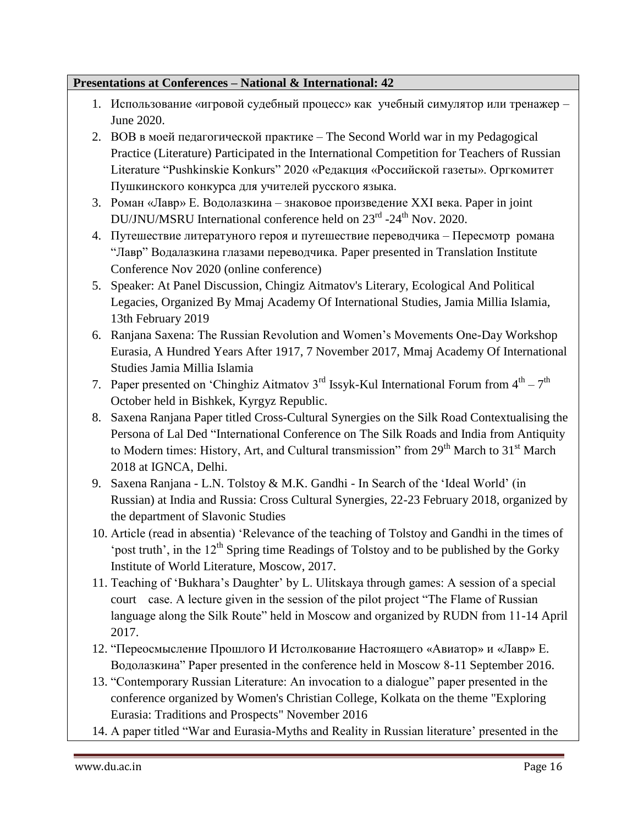#### **Presentations at Conferences – National & International: 42**

- 1. Использование «игровой судебный процесс» как учебный симулятор или тренажер June 2020.
- 2. ВОВ в моей педагогической практике The Second World war in my Pedagogical Practice (Literature) Participated in the International Competition for Teachers of Russian Literature "Pushkinskie Konkurs" 2020 «Редакция «Российской газеты». Оргкомитет Пушкинского конкурса для учителей русского языка.
- 3. Роман «Лавр» Е. Водолазкина знаковое произведение XXI века. Paper in joint DU/JNU/MSRU International conference held on  $23<sup>rd</sup>$  -24<sup>th</sup> Nov. 2020.
- 4. Путешествие литератуного героя и путешествие переводчика Пересмотр романа "Лавр" Водалазкина глазами переводчика. Paper presented in Translation Institute Conference Nov 2020 (online conference)
- 5. Speaker: At Panel Discussion, Chingiz Aitmatov's Literary, Ecological And Political Legacies, Organized By Mmaj Academy Of International Studies, Jamia Millia Islamia, 13th February 2019
- 6. Ranjana Saxena: The Russian Revolution and Women's Movements One-Day Workshop Eurasia, A Hundred Years After 1917, 7 November 2017, Mmaj Academy Of International Studies Jamia Millia Islamia
- 7. Paper presented on 'Chinghiz Aitmatov 3<sup>rd</sup> Issyk-Kul International Forum from  $4^{\text{th}} 7^{\text{th}}$ October held in Bishkek, Kyrgyz Republic.
- 8. Saxena Ranjana Paper titled Cross-Cultural Synergies on the Silk Road Contextualising the Persona of Lal Ded "International Conference on The Silk Roads and India from Antiquity to Modern times: History, Art, and Cultural transmission" from  $29<sup>th</sup>$  March to  $31<sup>st</sup>$  March 2018 at IGNCA, Delhi.
- 9. Saxena Ranjana L.N. Tolstoy & M.K. Gandhi In Search of the 'Ideal World' (in Russian) at India and Russia: Cross Cultural Synergies, 22-23 February 2018, organized by the department of Slavonic Studies
- 10. Article (read in absentia) 'Relevance of the teaching of Tolstoy and Gandhi in the times of 'post truth', in the  $12<sup>th</sup>$  Spring time Readings of Tolstoy and to be published by the Gorky Institute of World Literature, Moscow, 2017.
- 11. Teaching of 'Bukhara's Daughter' by L. Ulitskaya through games: A session of a special court case. A lecture given in the session of the pilot project "The Flame of Russian language along the Silk Route" held in Moscow and organized by RUDN from 11-14 April 2017.
- 12. "Переосмысление Прошлого И Истолкование Настоящего «Авиатор» и «Лавр» Е. Водолазкина" Paper presented in the conference held in Moscow 8-11 September 2016.
- 13. "Contemporary Russian Literature: An invocation to a dialogue" paper presented in the conference organized by Women's Christian College, Kolkata on the theme "Exploring Eurasia: Traditions and Prospects" November 2016
- 14. A paper titled "War and Eurasia-Myths and Reality in Russian literature' presented in the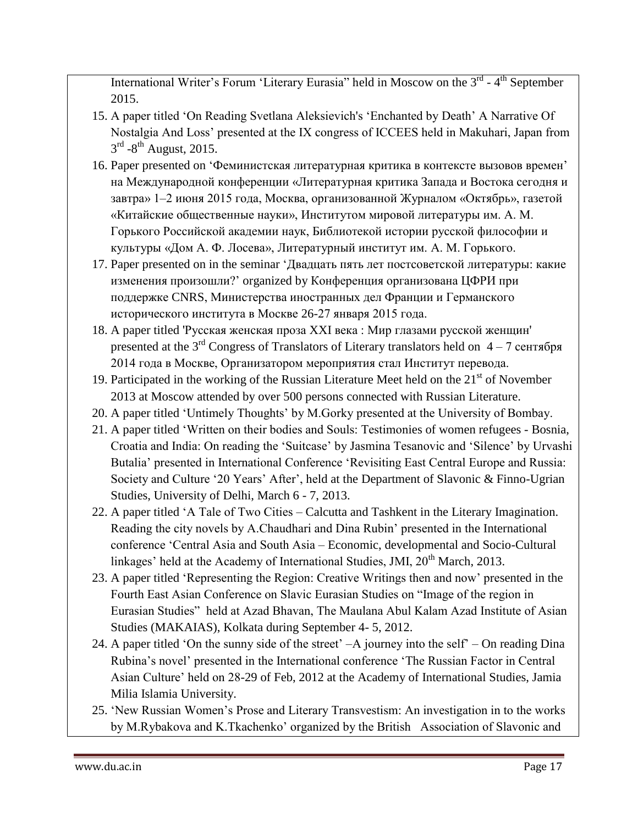International Writer's Forum 'Literary Eurasia'' held in Moscow on the 3<sup>rd</sup> - 4<sup>th</sup> September 2015.

- 15. A paper titled 'On Reading Svetlana Aleksievich's 'Enchanted by Death' A Narrative Of Nostalgia And Loss' presented at the IX congress of ICCEES held in Makuhari, Japan from  $3^{\text{rd}}$  -8<sup>th</sup> August, 2015.
- 16. Paper presented on 'Феминистская литературная критика в контексте вызовов времен' на Международной конференции «Литературная критика Запада и Востока сегодня и завтра» 1–2 июня 2015 года, Москва, организованной Журналом «Октябрь», газетой «Китайские общественные науки», Институтом мировой литературы им. А. М. Горького Российской академии наук, Библиотекой истории русской философии и культуры «Дом А. Ф. Лосева», Литературный институт им. А. М. Горького.
- 17. Paper presented on in the seminar 'Двадцать пять лет постсоветской литературы: какие изменения произошли?' organized by Конференция организована ЦФРИ при поддержке CNRS, Министерства иностранных дел Франции и Германского исторического института в Москве 26-27 января 2015 года.
- 18. A paper titled 'Русская женская проза XXI века : Мир глазами русской женщин' presented at the  $3<sup>rd</sup>$  Congress of Translators of Literary translators held on  $4-7$  сентября 2014 года в Москве, Организатором мероприятия стал Институт перевода.
- 19. Participated in the working of the Russian Literature Meet held on the  $21<sup>st</sup>$  of November 2013 at Moscow attended by over 500 persons connected with Russian Literature.
- 20. A paper titled 'Untimely Thoughts' by M.Gorky presented at the University of Bombay.
- 21. A paper titled 'Written on their bodies and Souls: Testimonies of women refugees Bosnia, Croatia and India: On reading the 'Suitcase' by Jasmina Tesanovic and 'Silence' by Urvashi Butalia' presented in International Conference 'Revisiting East Central Europe and Russia: Society and Culture '20 Years' After', held at the Department of Slavonic & Finno-Ugrian Studies, University of Delhi, March 6 - 7, 2013.
- 22. A paper titled 'A Tale of Two Cities Calcutta and Tashkent in the Literary Imagination. Reading the city novels by A.Chaudhari and Dina Rubin' presented in the International conference 'Central Asia and South Asia – Economic, developmental and Socio-Cultural linkages' held at the Academy of International Studies, JMI,  $20<sup>th</sup>$  March, 2013.
- 23. A paper titled 'Representing the Region: Creative Writings then and now' presented in the Fourth East Asian Conference on Slavic Eurasian Studies on "Image of the region in Eurasian Studies" held at Azad Bhavan, The Maulana Abul Kalam Azad Institute of Asian Studies (MAKAIAS), Kolkata during September 4- 5, 2012.
- 24. A paper titled 'On the sunny side of the street' –A journey into the self' On reading Dina Rubina's novel' presented in the International conference 'The Russian Factor in Central Asian Culture' held on 28-29 of Feb, 2012 at the Academy of International Studies, Jamia Milia Islamia University.
- 25. 'New Russian Women's Prose and Literary Transvestism: An investigation in to the works by M.Rybakova and K.Tkachenko' organized by the British Association of Slavonic and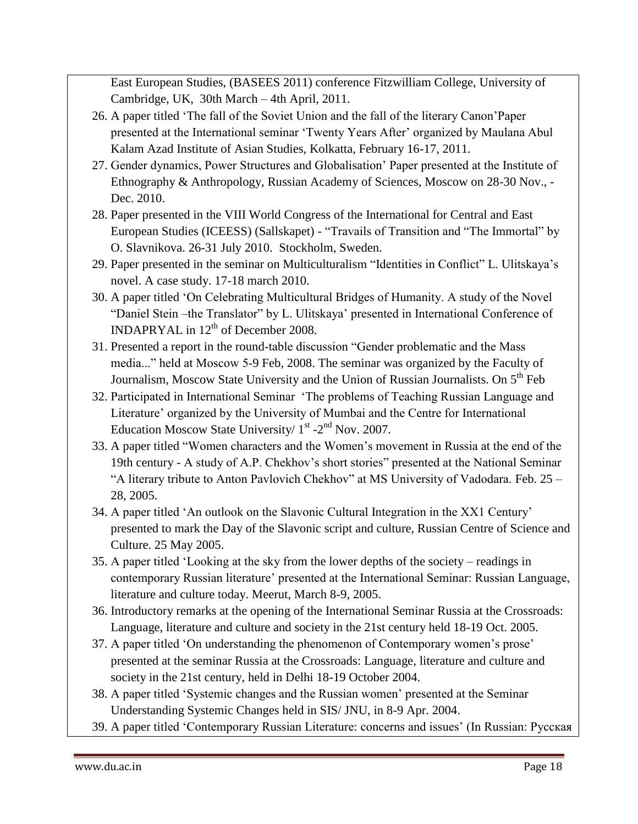East European Studies, (BASEES 2011) conference Fitzwilliam College, University of Cambridge, UK, 30th March – 4th April, 2011.

- 26. A paper titled 'The fall of the Soviet Union and the fall of the literary Canon'Paper presented at the International seminar 'Twenty Years After' organized by Maulana Abul Kalam Azad Institute of Asian Studies, Kolkatta, February 16-17, 2011.
- 27. Gender dynamics, Power Structures and Globalisation' Paper presented at the Institute of Ethnography & Anthropology, Russian Academy of Sciences, Moscow on 28-30 Nov., - Dec. 2010.
- 28. Paper presented in the VIII World Congress of the International for Central and East European Studies (ICEESS) (Sallskapet) - "Travails of Transition and "The Immortal" by O. Slavnikova. 26-31 July 2010. Stockholm, Sweden.
- 29. Paper presented in the seminar on Multiculturalism "Identities in Conflict" L. Ulitskaya's novel. A case study. 17-18 march 2010.
- 30. A paper titled 'On Celebrating Multicultural Bridges of Humanity. A study of the Novel "Daniel Stein –the Translator" by L. Ulitskaya' presented in International Conference of INDAPRYAL in  $12<sup>th</sup>$  of December 2008.
- 31. Presented a report in the round-table discussion "Gender problematic and the Mass media..." held at Moscow 5-9 Feb, 2008. The seminar was organized by the Faculty of Journalism, Moscow State University and the Union of Russian Journalists. On 5<sup>th</sup> Feb
- 32. Participated in International Seminar 'The problems of Teaching Russian Language and Literature' organized by the University of Mumbai and the Centre for International Education Moscow State University/  $1<sup>st</sup> - 2<sup>nd</sup>$  Nov. 2007.
- 33. A paper titled "Women characters and the Women's movement in Russia at the end of the 19th century - A study of A.P. Chekhov's short stories" presented at the National Seminar "A literary tribute to Anton Pavlovich Chekhov" at MS University of Vadodara. Feb. 25 – 28, 2005.
- 34. A paper titled 'An outlook on the Slavonic Cultural Integration in the XX1 Century' presented to mark the Day of the Slavonic script and culture, Russian Centre of Science and Culture. 25 May 2005.
- 35. A paper titled 'Looking at the sky from the lower depths of the society readings in contemporary Russian literature' presented at the International Seminar: Russian Language, literature and culture today. Meerut, March 8-9, 2005.
- 36. Introductory remarks at the opening of the International Seminar Russia at the Crossroads: Language, literature and culture and society in the 21st century held 18-19 Oct. 2005.
- 37. A paper titled 'On understanding the phenomenon of Contemporary women's prose' presented at the seminar Russia at the Crossroads: Language, literature and culture and society in the 21st century, held in Delhi 18-19 October 2004.
- 38. A paper titled 'Systemic changes and the Russian women' presented at the Seminar Understanding Systemic Changes held in SIS/ JNU, in 8-9 Apr. 2004.
- 39. A paper titled 'Contemporary Russian Literature: concerns and issues' (In Russian: Русская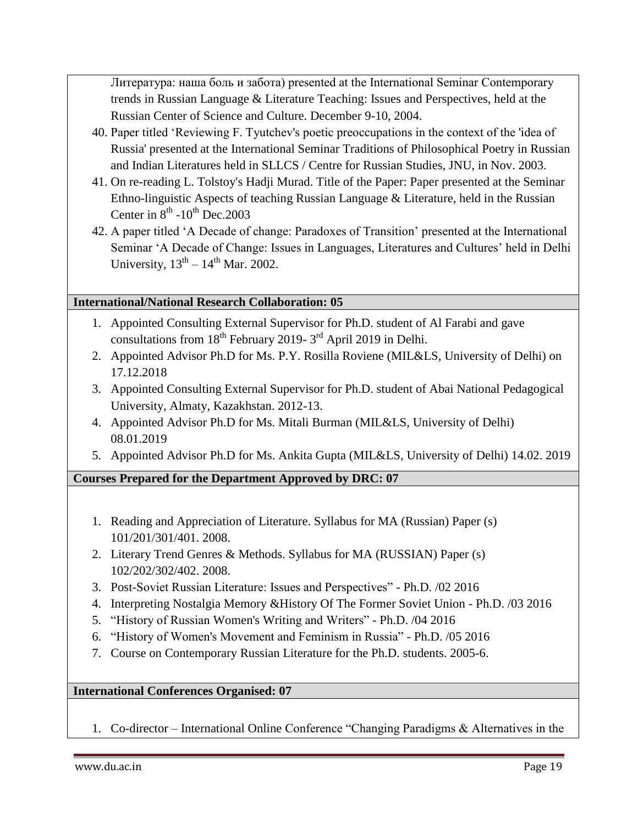Литература: наша боль и забота) presented at the International Seminar Contemporary trends in Russian Language & Literature Teaching: Issues and Perspectives, held at the Russian Center of Science and Culture. December 9-10, 2004.

- 40. Paper titled 'Reviewing F. Tyutchev's poetic preoccupations in the context of the 'idea of Russia' presented at the International Seminar Traditions of Philosophical Poetry in Russian and Indian Literatures held in SLLCS / Centre for Russian Studies, JNU, in Nov. 2003.
- 41. On re-reading L. Tolstoy's Hadji Murad. Title of the Paper: Paper presented at the Seminar Ethno-linguistic Aspects of teaching Russian Language & Literature, held in the Russian Center in  $8^{th}$  -10<sup>th</sup> Dec.2003
- 42. A paper titled 'A Decade of change: Paradoxes of Transition' presented at the International Seminar 'A Decade of Change: Issues in Languages, Literatures and Cultures' held in Delhi University,  $13<sup>th</sup> - 14<sup>th</sup>$  Mar. 2002.

## **International/National Research Collaboration: 05**

- 1. Appointed Consulting External Supervisor for Ph.D. student of Al Farabi and gave consultations from  $18^{th}$  February 2019-  $3^{rd}$  April 2019 in Delhi.
- 2. Appointed Advisor Ph.D for Ms. P.Y. Rosilla Roviene (MIL&LS, University of Delhi) on 17.12.2018
- 3. Appointed Consulting External Supervisor for Ph.D. student of Abai National Pedagogical University, Almaty, Kazakhstan. 2012-13.
- 4. Appointed Advisor Ph.D for Ms. Mitali Burman (MIL&LS, University of Delhi) 08.01.2019
- 5. Appointed Advisor Ph.D for Ms. Ankita Gupta (MIL&LS, University of Delhi) 14.02. 2019

**Courses Prepared for the Department Approved by DRC: 07**

- 1. Reading and Appreciation of Literature. Syllabus for MA (Russian) Paper (s) 101/201/301/401. 2008.
- 2. Literary Trend Genres & Methods. Syllabus for MA (RUSSIAN) Paper (s) 102/202/302/402. 2008.
- 3. Post-Soviet Russian Literature: Issues and Perspectives" Ph.D. /02 2016
- 4. Interpreting Nostalgia Memory &History Of The Former Soviet Union Ph.D. /03 2016
- 5. "History of Russian Women's Writing and Writers" Ph.D. /04 2016
- 6. "History of Women's Movement and Feminism in Russia" Ph.D. /05 2016
- 7. Course on Contemporary Russian Literature for the Ph.D. students. 2005-6.

**International Conferences Organised: 07**

1. Co-director – International Online Conference "Changing Paradigms & Alternatives in the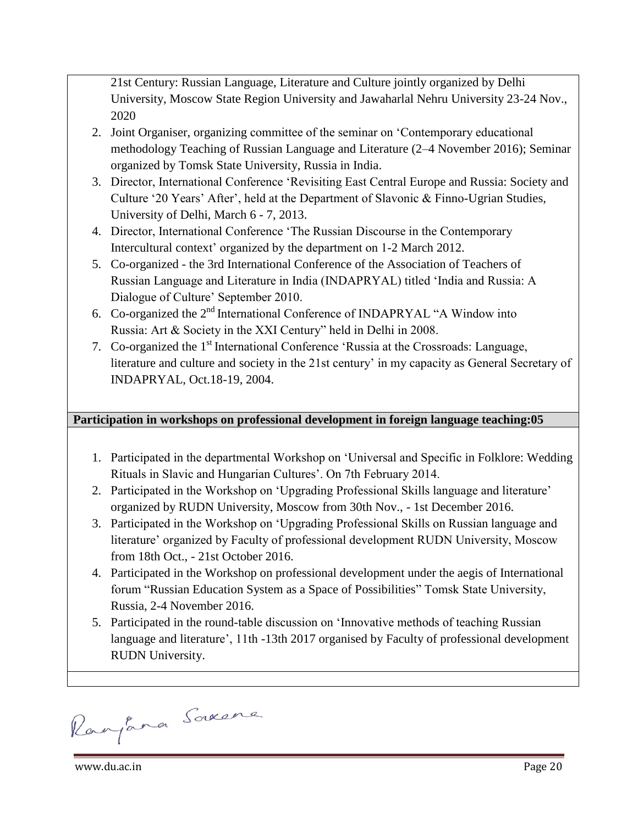21st Century: Russian Language, Literature and Culture jointly organized by Delhi University, Moscow State Region University and Jawaharlal Nehru University 23-24 Nov., 2020

- 2. Joint Organiser, organizing committee of the seminar on 'Contemporary educational methodology Teaching of Russian Language and Literature (2–4 November 2016); Seminar organized by Tomsk State University, Russia in India.
- 3. Director, International Conference 'Revisiting East Central Europe and Russia: Society and Culture '20 Years' After', held at the Department of Slavonic & Finno-Ugrian Studies, University of Delhi, March 6 - 7, 2013.
- 4. Director, International Conference 'The Russian Discourse in the Contemporary Intercultural context' organized by the department on 1-2 March 2012.
- 5. Co-organized the 3rd International Conference of the Association of Teachers of Russian Language and Literature in India (INDAPRYAL) titled 'India and Russia: A Dialogue of Culture' September 2010.
- 6. Co-organized the 2nd International Conference of INDAPRYAL "A Window into Russia: Art & Society in the XXI Century" held in Delhi in 2008.
- 7. Co-organized the 1<sup>st</sup> International Conference 'Russia at the Crossroads: Language, literature and culture and society in the 21st century' in my capacity as General Secretary of INDAPRYAL, Oct.18-19, 2004.

## **Participation in workshops on professional development in foreign language teaching:05**

- 1. Participated in the departmental Workshop on 'Universal and Specific in Folklore: Wedding Rituals in Slavic and Hungarian Cultures'. On 7th February 2014.
- 2. Participated in the Workshop on 'Upgrading Professional Skills language and literature' organized by RUDN University, Moscow from 30th Nov., - 1st December 2016.
- 3. Participated in the Workshop on 'Upgrading Professional Skills on Russian language and literature' organized by Faculty of professional development RUDN University, Moscow from 18th Oct., - 21st October 2016.
- 4. Participated in the Workshop on professional development under the aegis of International forum "Russian Education System as a Space of Possibilities" Tomsk State University, Russia, 2-4 November 2016.
- 5. Participated in the round-table discussion on 'Innovative methods of teaching Russian language and literature', 11th -13th 2017 organised by Faculty of professional development RUDN University.

Ranjana Saxone

www.du.ac.in Page 20